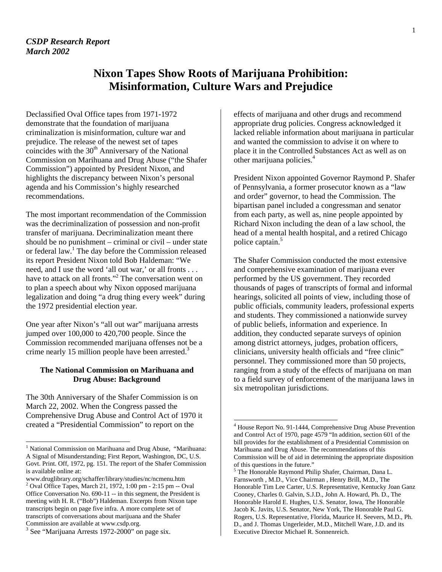# **Nixon Tapes Show Roots of Marijuana Prohibition: Misinformation, Culture Wars and Prejudice**

 $\overline{\phantom{a}}$ 

Declassified Oval Office tapes from 1971-1972 demonstrate that the foundation of marijuana criminalization is misinformation, culture war and prejudice. The release of the newest set of tapes coincides with the  $30<sup>th</sup>$  Anniversary of the National Commission on Marihuana and Drug Abuse ("the Shafer Commission") appointed by President Nixon, and highlights the discrepancy between Nixon's personal agenda and his Commission's highly researched recommendations.

The most important recommendation of the Commission was the decriminalization of possession and non-profit transfer of marijuana. Decriminalization meant there should be no punishment – criminal or civil – under state or federal law.<sup>[1](#page-0-0)</sup> The day before the Commission released its report President Nixon told Bob Haldeman: "We need, and I use the word 'all out war,' or all fronts . . . have to attack on all fronts."<sup>[2](#page-0-1)</sup> The conversation went on to plan a speech about why Nixon opposed marijuana legalization and doing "a drug thing every week" during the 1972 presidential election year.

One year after Nixon's "all out war" marijuana arrests jumped over 100,000 to 420,700 people. Since the Commission recommended marijuana offenses not be a crime nearly 15 million people have been arrested.<sup>[3](#page-0-2)</sup>

## **The National Commission on Marihuana and Drug Abuse: Background**

The 30th Anniversary of the Shafer Commission is on March 22, 2002. When the Congress passed the Comprehensive Drug Abuse and Control Act of 1970 it created a "Presidential Commission" to report on the

 $\overline{\phantom{a}}$ 

effects of marijuana and other drugs and recommend appropriate drug policies. Congress acknowledged it lacked reliable information about marijuana in particular and wanted the commission to advise it on where to place it in the Controlled Substances Act as well as on other marijuana policies.[4](#page-0-3)

President Nixon appointed Governor Raymond P. Shafer of Pennsylvania, a former prosecutor known as a "law and order" governor, to head the Commission. The bipartisan panel included a congressman and senator from each party, as well as, nine people appointed by Richard Nixon including the dean of a law school, the head of a mental health hospital, and a retired Chicago police captain.<sup>[5](#page-0-4)</sup>

The Shafer Commission conducted the most extensive and comprehensive examination of marijuana ever performed by the US government. They recorded thousands of pages of transcripts of formal and informal hearings, solicited all points of view, including those of public officials, community leaders, professional experts and students. They commissioned a nationwide survey of public beliefs, information and experience. In addition, they conducted separate surveys of opinion among district attorneys, judges, probation officers, clinicians, university health officials and "free clinic" personnel. They commissioned more than 50 projects, ranging from a study of the effects of marijuana on man to a field survey of enforcement of the marijuana laws in six metropolitan jurisdictions.

<span id="page-0-0"></span><sup>&</sup>lt;sup>1</sup> National Commission on Marihuana and Drug Abuse, "Marihuana: A Signal of Misunderstanding; First Report, Washington, DC, U.S. Govt. Print. Off, 1972, pg. 151. The report of the Shafer Commission is available online at:

<span id="page-0-1"></span>www.druglibrary.org/schaffer/library/studies/nc/ncmenu.htm <sup>2</sup> Oval Office Tapes, March 21, 1972, 1:00 pm - 2:15 pm -- Oval Office Conversation No. 690-11 -- in this segment, the President is meeting with H. R. ("Bob") Haldeman. Excerpts from Nixon tape transcripts begin on page five infra. A more complete set of transcripts of conversations about marijuana and the Shafer Commission are available at www.csdp.org.

<span id="page-0-2"></span> $3$  See "Marijuana Arrests 1972-2000" on page six.

<span id="page-0-3"></span><sup>4</sup> House Report No. 91-1444, Comprehensive Drug Abuse Prevention and Control Act of 1970, page 4579 "In addition, section 601 of the bill provides for the establishment of a Presidential Commission on Marihuana and Drug Abuse. The recommendations of this Commission will be of aid in determining the appropriate disposition of this questions in the future."

<span id="page-0-4"></span><sup>5</sup> The Honorable Raymond Philip Shafer, Chairman, Dana L. Farnsworth , M.D., Vice Chairman , Henry Brill, M.D., The Honorable Tim Lee Carter, U.S. Representative, Kentucky Joan Ganz Cooney, Charles 0. Galvin, S.J.D., John A. Howard, Ph. D., The Honorable Harold E. Hughes, U.S. Senator, Iowa, The Honorable Jacob K. Javits, U.S. Senator, New York, The Honorable Paul G. Rogers, U.S. Representative, Florida, Maurice H. Seevers, M.D., Ph. D., and J. Thomas Ungerleider, M.D., Mitchell Ware, J.D. and its Executive Director Michael R. Sonnenreich.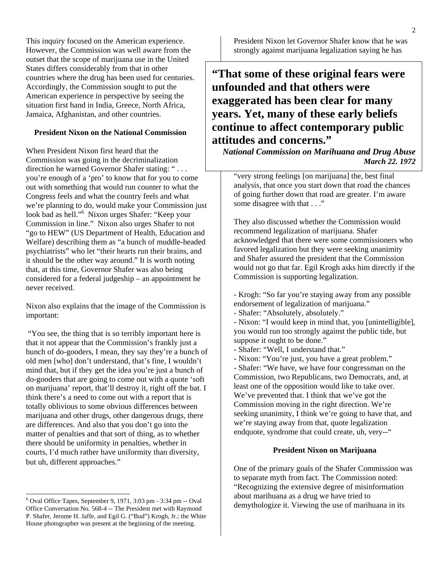This inquiry focused on the American experience. However, the Commission was well aware from the outset that the scope of marijuana use in the United States differs considerably from that in other countries where the drug has been used for centuries. Accordingly, the Commission sought to put the American experience in perspective by seeing the situation first hand in India, Greece, North Africa, Jamaica, Afghanistan, and other countries.

## **President Nixon on the National Commission**

When President Nixon first heard that the Commission was going in the decriminalization direction he warned Governor Shafer stating: " . . . you're enough of a 'pro' to know that for you to come out with something that would run counter to what the Congress feels and what the country feels and what we're planning to do, would make your Commission just look bad as hell.["6](#page-1-0) Nixon urges Shafer: "Keep your Commission in line." Nixon also urges Shafer to not "go to HEW" (US Department of Health, Education and Welfare) describing them as "a bunch of muddle-headed psychiatrists" who let "their hearts run their brains, and it should be the other way around." It is worth noting that, at this time, Governor Shafer was also being considered for a federal judgeship – an appointment he never received.

Nixon also explains that the image of the Commission is important:

 "You see, the thing that is so terribly important here is that it not appear that the Commission's frankly just a bunch of do-gooders, I mean, they say they're a bunch of old men [who] don't understand, that's fine, I wouldn't mind that, but if they get the idea you're just a bunch of do-gooders that are going to come out with a quote 'soft on marijuana' report, that'll destroy it, right off the bat. I think there's a need to come out with a report that is totally oblivious to some obvious differences between marijuana and other drugs, other dangerous drugs, there are differences. And also that you don't go into the matter of penalties and that sort of thing, as to whether there should be uniformity in penalties, whether in courts, I'd much rather have uniformity than diversity, but uh, different approaches."

 $\overline{\phantom{a}}$ 

President Nixon let Governor Shafer know that he was strongly against marijuana legalization saying he has

**"That some of these original fears were unfounded and that others were exaggerated has been clear for many years. Yet, many of these early beliefs continue to affect contemporary public attitudes and concerns."**

*National Commission on Marihuana and Drug Abuse March 22. 1972*

"very strong feelings [on marijuana] the, best final analysis, that once you start down that road the chances of going further down that road are greater. I'm aware some disagree with that . . ."

They also discussed whether the Commission would recommend legalization of marijuana. Shafer acknowledged that there were some commissioners who favored legalization but they were seeking unanimity and Shafer assured the president that the Commission would not go that far. Egil Krogh asks him directly if the Commission is supporting legalization.

- Krogh: "So far you're staying away from any possible endorsement of legalization of marijuana."

- Shafer: "Absolutely, absolutely."

- Nixon: "I would keep in mind that, you [unintelligible], you would run too strongly against the public tide, but suppose it ought to be done."

- Shafer: "Well, I understand that."

- Nixon: "You're just, you have a great problem."

- Shafer: "We have, we have four congressman on the Commission, two Republicans, two Democrats, and, at least one of the opposition would like to take over. We've prevented that. I think that we've got the Commission moving in the right direction. We're seeking unanimity, I think we're going to have that, and we're staying away from that, quote legalization endquote, syndrome that could create, uh, very--"

## **President Nixon on Marijuana**

One of the primary goals of the Shafer Commission was to separate myth from fact. The Commission noted: "Recognizing the extensive degree of misinformation about marihuana as a drug we have tried to demythologize it. Viewing the use of marihuana in its

<span id="page-1-0"></span> $6$  Oval Office Tapes, September 9, 1971, 3:03 pm - 3:34 pm -- Oval Office Conversation No. 568-4 -- The President met with Raymond P. Shafer, Jerome H. Jaffe, and Egil G. ("Bud") Krogh, Jr.; the White House photographer was present at the beginning of the meeting.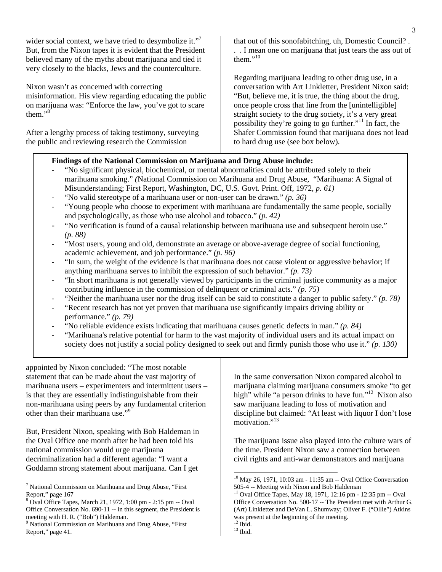| wider social context, we have tried to desymbolize it." <sup>7</sup><br>But, from the Nixon tapes it is evident that the President<br>believed many of the myths about marijuana and tied it<br>very closely to the blacks, Jews and the counterculture. | that out of this sonofabitching, uh, Domestic Council?.<br>. I mean one on marijuana that just tears the ass out of<br>them." $10$                                                                                                                                                                                                                                    |
|----------------------------------------------------------------------------------------------------------------------------------------------------------------------------------------------------------------------------------------------------------|-----------------------------------------------------------------------------------------------------------------------------------------------------------------------------------------------------------------------------------------------------------------------------------------------------------------------------------------------------------------------|
| Nixon wasn't as concerned with correcting<br>misinformation. His view regarding educating the public<br>on marijuana was: "Enforce the law, you've got to scare<br>them." $8$                                                                            | Regarding marijuana leading to other drug use, in a<br>conversation with Art Linkletter, President Nixon said:<br>"But, believe me, it is true, the thing about the drug,<br>once people cross that line from the [unintelligible]<br>straight society to the drug society, it's a very great<br>possibility they're going to go further." <sup>11</sup> In fact, the |
| After a lengthy process of taking testimony, surveying<br>the public and reviewing research the Commission                                                                                                                                               | Shafer Commission found that marijuana does not lead<br>to hard drug use (see box below).                                                                                                                                                                                                                                                                             |

## **Findings of the National Commission on Marijuana and Drug Abuse include:**

- "No significant physical, biochemical, or mental abnormalities could be attributed solely to their marihuana smoking." *(*National Commission on Marihuana and Drug Abuse, "Marihuana: A Signal of Misunderstanding; First Report, Washington, DC, U.S. Govt. Print. Off, 1972, *p. 61)*
- "No valid stereotype of a marihuana user or non-user can be drawn." *(p. 36)*
- "Young people who choose to experiment with marihuana are fundamentally the same people, socially and psychologically, as those who use alcohol and tobacco." *(p. 42)*
- "No verification is found of a causal relationship between marihuana use and subsequent heroin use." *(p. 88)*
- "Most users, young and old, demonstrate an average or above-average degree of social functioning, academic achievement, and job performance." *(p. 96)*
- "In sum, the weight of the evidence is that marihuana does not cause violent or aggressive behavior; if anything marihuana serves to inhibit the expression of such behavior." *(p. 73)*
- "In short marihuana is not generally viewed by participants in the criminal justice community as a major contributing influence in the commission of delinquent or criminal acts." *(p. 75)*
- "Neither the marihuana user nor the drug itself can be said to constitute a danger to public safety." *(p. 78)*
- "Recent research has not yet proven that marihuana use significantly impairs driving ability or performance." *(p. 79)*
- "No reliable evidence exists indicating that marihuana causes genetic defects in man." *(p. 84)*
- "Marihuana's relative potential for harm to the vast majority of individual users and its actual impact on society does not justify a social policy designed to seek out and firmly punish those who use it." *(p. 130)*

appointed by Nixon concluded: "The most notable statement that can be made about the vast majority of marihuana users – experimenters and intermittent users – is that they are essentially indistinguishable from their non-marihuana using peers by any fundamental criterion other than their marihuana use."[9](#page-2-2)

But, President Nixon, speaking with Bob Haldeman in the Oval Office one month after he had been told his national commission would urge marijuana decriminalization had a different agenda: "I want a Goddamn strong statement about marijuana. Can I get

 $\overline{\phantom{a}}$ 

In the same conversation Nixon compared alcohol to marijuana claiming marijuana consumers smoke "to get high" while "a person drinks to have fun."<sup>12</sup> Nixon also saw marijuana leading to loss of motivation and discipline but claimed: "At least with liquor I don't lose motivation."<sup>[13](#page-2-6)</sup>

The marijuana issue also played into the culture wars of the time. President Nixon saw a connection between civil rights and anti-war demonstrators and marijuana

 $\overline{a}$ 

<span id="page-2-0"></span> $7$  National Commission on Marihuana and Drug Abuse, "First" Report," page 167

<span id="page-2-1"></span> $8$  Oval Office Tapes, March 21, 1972, 1:00 pm - 2:15 pm -- Oval Office Conversation No. 690-11 -- in this segment, the President is meeting with H. R. ("Bob") Haldeman.<br><sup>9</sup> National Commission on Marihuana and Drug Abuse, "First

<span id="page-2-2"></span>Report," page 41.

<span id="page-2-3"></span><sup>10</sup> May 26, 1971, 10:03 am - 11:35 am -- Oval Office Conversation 505-4 -- Meeting with Nixon and Bob Haldeman

<span id="page-2-4"></span><sup>11</sup> Oval Office Tapes, May 18, 1971, 12:16 pm - 12:35 pm -- Oval Office Conversation No. 500-17 -- The President met with Arthur G. (Art) Linkletter and DeVan L. Shumway; Oliver F. ("Ollie") Atkins was present at the beginning of the meeting.<br><sup>12</sup> Ibid.

<span id="page-2-5"></span>

<span id="page-2-6"></span> $^{13}$  Ibid.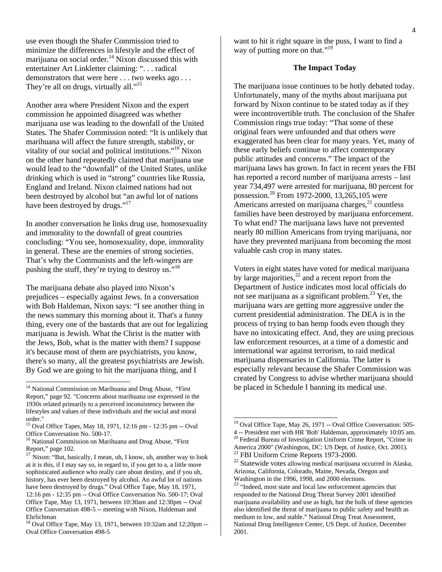use even though the Shafer Commission tried to minimize the differences in lifestyle and the effect of marijuana on social order.<sup>14</sup> Nixon discussed this with entertainer Art Linkletter claiming: ". . . radical demonstrators that were here . . . two weeks ago . . . They're all on drugs, virtually all."<sup>[15](#page-3-1)</sup>

Another area where President Nixon and the expert commission he appointed disagreed was whether marijuana use was leading to the downfall of the United States. The Shafer Commission noted: "It is unlikely that marihuana will affect the future strength, stability, or vitality of our social and political institutions."[16](#page-3-2) Nixon on the other hand repeatedly claimed that marijuana use would lead to the "downfall" of the United States, unlike drinking which is used in "strong" countries like Russia, England and Ireland. Nixon claimed nations had not been destroyed by alcohol but "an awful lot of nations have been destroyed by drugs."<sup>[17](#page-3-3)</sup>

In another conversation he links drug use, homosexuality and immorality to the downfall of great countries concluding: "You see, homosexuality, dope, immorality in general. These are the enemies of strong societies. That's why the Communists and the left-wingers are pushing the stuff, they're trying to destroy us."<sup>18</sup>

The marijuana debate also played into Nixon's prejudices – especially against Jews. In a conversation with Bob Haldeman, Nixon says: "I see another thing in the news summary this morning about it. That's a funny thing, every one of the bastards that are out for legalizing marijuana is Jewish. What the Christ is the matter with the Jews, Bob, what is the matter with them? I suppose it's because most of them are psychiatrists, you know, there's so many, all the greatest psychiatrists are Jewish. By God we are going to hit the marijuana thing, and I

 $\overline{\phantom{a}}$ 

want to hit it right square in the puss, I want to find a way of putting more on that."<sup>[19](#page-3-5)</sup>

## **The Impact Today**

The marijuana issue continues to be hotly debated today. Unfortunately, many of the myths about marijuana put forward by Nixon continue to be stated today as if they were incontrovertible truth. The conclusion of the Shafer Commission rings true today: "That some of these original fears were unfounded and that others were exaggerated has been clear for many years. Yet, many of these early beliefs continue to affect contemporary public attitudes and concerns." The impact of the marijuana laws has grown. In fact in recent years the FBI has reported a record number of marijuana arrests – last year 734,497 were arrested for marijuana, 80 percent for possession.<sup>20</sup> From 1972-2000, 13,265,105 were Americans arrested on marijuana charges, $21$  countless families have been destroyed by marijuana enforcement. To what end? The marijuana laws have not prevented nearly 80 million Americans from trying marijuana, nor have they prevented marijuana from becoming the most valuable cash crop in many states.

Voters in eight states have voted for medical marijuana by large majorities, $22$  and a recent report from the Department of Justice indicates most local officials do not see marijuana as a significant problem. $^{23}$  Yet, the marijuana wars are getting more aggressive under the current presidential administration. The DEA is in the process of trying to ban hemp foods even though they have no intoxicating effect. And, they are using precious law enforcement resources, at a time of a domestic and international war against terrorism, to raid medical marijuana dispensaries in California. The latter is especially relevant because the Shafer Commission was created by Congress to advise whether marijuana should be placed in Schedule I banning its medical use.

 $\overline{\phantom{a}}$ 

<span id="page-3-0"></span><sup>&</sup>lt;sup>14</sup> National Commission on Marihuana and Drug Abuse, "First Report," page 92. "Concerns about marihuana use expressed in the 1930s related primarily to a perceived inconsistency between the lifestyles and values of these individuals and the social and moral order."

<span id="page-3-1"></span><sup>15</sup> Oval Office Tapes, May 18, 1971, 12:16 pm - 12:35 pm -- Oval Office Conversation No. 500-17.

<span id="page-3-2"></span><sup>&</sup>lt;sup>16</sup> National Commission on Marihuana and Drug Abuse, "First Report," page 102.

<span id="page-3-3"></span> $17$  Nixon: "But, basically, I mean, uh, I know, uh, another way to look at it is this, if I may say so, in regard to, if you get to a, a little more sophisticated audience who really care about destiny, and if you uh, history, has ever been destroyed by alcohol. An awful lot of nations have been destroyed by drugs." Oval Office Tape, May 18, 1971, 12:16 pm - 12:35 pm -- Oval Office Conversation No. 500-17; Oval Office Tape, May 13, 1971, between 10:30am and 12:30pm -- Oval Office Conversation 498-5 -- meeting with Nixon, Haldeman and Ehrlichman

<span id="page-3-4"></span><sup>18</sup> Oval Office Tape, May 13, 1971, between 10:32am and 12:20pm -- Oval Office Conversation 498-5

<span id="page-3-6"></span><span id="page-3-5"></span><sup>&</sup>lt;sup>19</sup> Oval Office Tape, May 26, 1971 -- Oval Office Conversation: 505-4 -- President met with HR 'Bob' Haldeman, approximately 10:05 am. <sup>20</sup> Federal Bureau of Investigation Uniform Crime Report, "Crime in America 2000" (Washington, DC: US Dept. of Justice, Oct. 2001).<br><sup>21</sup> FBI Uniform Crime Reports 1973-2000.<br><sup>22</sup> Statewide votes allowing medical marijuana occurred in Alaska,

<span id="page-3-7"></span>

<span id="page-3-8"></span>Arizona, California, Colorado, Maine, Nevada, Oregon and Washington in the 1996, 1998, and 2000 elections.

<span id="page-3-9"></span> $23$  "Indeed, most state and local law enforcement agencies that responded to the National Drug Threat Survey 2001 identified marijuana availability and use as high, but the bulk of these agencies also identified the threat of marijuana to public safety and health as medium to low, and stable." National Drug Treat Assessment, National Drug Intelligence Center, US Dept. of Justice, December 2001.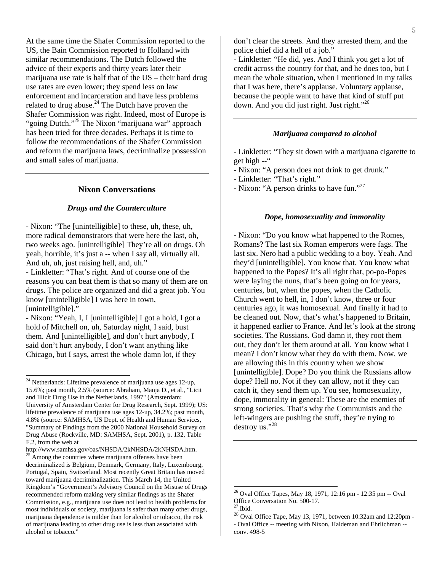At the same time the Shafer Commission reported to the US, the Bain Commission reported to Holland with similar recommendations. The Dutch followed the advice of their experts and thirty years later their marijuana use rate is half that of the US – their hard drug use rates are even lower; they spend less on law enforcement and incarceration and have less problems related to drug abuse. $^{24}$  The Dutch have proven the Shafer Commission was right. Indeed, most of Europe is "going Dutch."<sup>25</sup> The Nixon "marijuana war" approach has been tried for three decades. Perhaps it is time to follow the recommendations of the Shafer Commission and reform the marijuana laws, decriminalize possession and small sales of marijuana.

#### **Nixon Conversations**

#### *Drugs and the Counterculture*

- Nixon: "The [unintelligible] to these, uh, these, uh, more radical demonstrators that were here the last, oh, two weeks ago. [unintelligible] They're all on drugs. Oh yeah, horrible, it's just a -- when I say all, virtually all. And uh, uh, just raising hell, and, uh."

- Linkletter: "That's right. And of course one of the reasons you can beat them is that so many of them are on drugs. The police are organized and did a great job. You know [unintelligible] I was here in town, [unintelligible]."

- Nixon: "Yeah, I, I [unintelligible] I got a hold, I got a hold of Mitchell on, uh, Saturday night, I said, bust them. And [unintelligible], and don't hurt anybody, I said don't hurt anybody, I don't want anything like Chicago, but I says, arrest the whole damn lot, if they

 $\overline{\phantom{a}}$ 

don't clear the streets. And they arrested them, and the police chief did a hell of a job."

- Linkletter: "He did, yes. And I think you get a lot of credit across the country for that, and he does too, but I mean the whole situation, when I mentioned in my talks that I was here, there's applause. Voluntary applause, because the people want to have that kind of stuff put down. And you did just right. Just right."<sup>[26](#page-4-2)</sup>

#### *Marijuana compared to alcohol*

- Linkletter: "They sit down with a marijuana cigarette to get high --"

- Nixon: "A person does not drink to get drunk."

- Linkletter: "That's right."
- Nixon: "A person drinks to have fun."<sup>[27](#page-4-3)</sup>

#### *Dope, homosexuality and immorality*

- Nixon: "Do you know what happened to the Romes, Romans? The last six Roman emperors were fags. The last six. Nero had a public wedding to a boy. Yeah. And they'd [unintelligible]. You know that. You know what happened to the Popes? It's all right that, po-po-Popes were laying the nuns, that's been going on for years, centuries, but, when the popes, when the Catholic Church went to hell, in, I don't know, three or four centuries ago, it was homosexual. And finally it had to be cleaned out. Now, that's what's happened to Britain, it happened earlier to France. And let's look at the strong societies. The Russians. God damn it, they root them out, they don't let them around at all. You know what I mean? I don't know what they do with them. Now, we are allowing this in this country when we show [unintelligible]. Dope? Do you think the Russians allow dope? Hell no. Not if they can allow, not if they can catch it, they send them up. You see, homosexuality, dope, immorality in general: These are the enemies of strong societies. That's why the Communists and the left-wingers are pushing the stuff, they're trying to destroy us."[28](#page-4-4)

 $\overline{a}$ 

<span id="page-4-0"></span> $2<sup>24</sup>$  Netherlands: Lifetime prevalence of marijuana use ages 12-up, 15.6%; past month, 2.5% (source: Abraham, Manja D., et al., "Licit and Illicit Drug Use in the Netherlands, 1997" (Amsterdam: University of Amsterdam Center for Drug Research, Sept. 1999); US: lifetime prevalence of marijuana use ages 12-up, 34.2%; past month, 4.8% (source: SAMHSA, US Dept. of Health and Human Services, "Summary of Findings from the 2000 National Household Survey on Drug Abuse (Rockville, MD: SAMHSA, Sept. 2001), p. 132, Table F.2, from the web at

<span id="page-4-1"></span>[http://www.samhsa.gov/oas/NHSDA/2kNHSDA/2kNHSDA.htm.](http://www.samhsa.gov/oas/NHSDA/2kNHSDA/2kNHSDA.htm)<br><sup>25</sup> Among the countries where marijuana offenses have been decriminalized is Belgium, Denmark, Germany, Italy, Luxembourg, Portugal, Spain, Switzerland. Most recently Great Britain has moved toward marijuana decriminalization. This March 14, the United Kingdom's "Government's Advisory Council on the Misuse of Drugs recommended reform making very similar findings as the Shafer Commission, e.g., marijuana use does not lead to health problems for most individuals or society, marijuana is safer than many other drugs, marijuana dependence is milder than for alcohol or tobacco, the risk of marijuana leading to other drug use is less than associated with alcohol or tobacco."

<span id="page-4-2"></span><sup>&</sup>lt;sup>26</sup> Oval Office Tapes, May 18, 1971, 12:16 pm - 12:35 pm -- Oval Office Conversation No. 500-17.

<span id="page-4-3"></span> $27$ .Ibid.

<span id="page-4-4"></span> $^{28}$  Oval Office Tape, May 13, 1971, between 10:32am and 12:20pm -- Oval Office -- meeting with Nixon, Haldeman and Ehrlichman - conv. 498-5